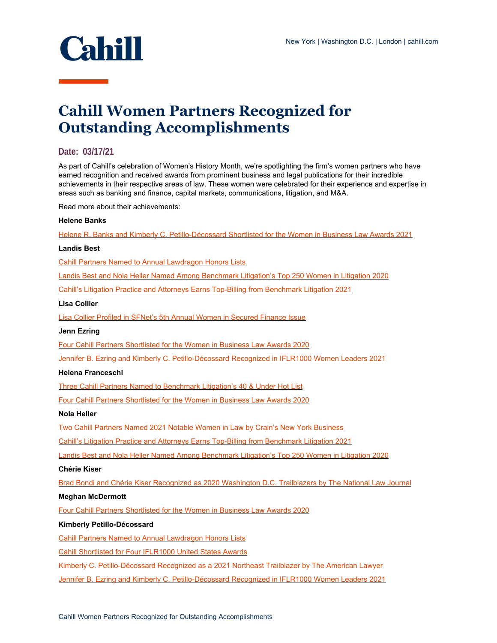

# **Cahill Women Partners Recognized for Outstanding Accomplishments**

# **Date: 03/17/21**

As part of Cahill's celebration of Women's History Month, we're spotlighting the firm's women partners who have earned recognition and received awards from prominent business and legal publications for their incredible achievements in their respective areas of law. These women were celebrated for their experience and expertise in areas such as banking and finance, capital markets, communications, litigation, and M&A.

Read more about their achievements:

## **Helene Banks**

[Helene R. Banks and Kimberly C. Petillo-Décossard Shortlisted for the Women in Business Law Awards 2021](https://www.cahill.com/Helene%20R.%20Banks%20and%20Kimberly%20C.%20Petillo-D%C3%A9cossard%20Shortlisted%20for%20the%20Women%20in%20Business%20Law%20Awards%202021)

#### **Landis Best**

[Cahill Partners Named to Annual Lawdragon Honors Lists](https://www.cahill.com/news/rankings/2021-01-29-cahill-partners-named-to-annual-lawdragon-honors-lists)

[Landis Best and Nola Heller Named Among Benchmark Litigation's Top 250 Women in Litigation 2020](https://www.cahill.com/news/rankings/2020-08-13-landis-best-and-nola-heller-named-among-benchmark-litigation-top-250-women-in-litigation-2020)

[Cahill's Litigation Practice and Attorneys Earns Top-Billing from Benchmark Litigation 2021](https://www.cahill.com/news/rankings/2020-10-01-cahill-litigation-practice-and-attorneys-earns-top-billing-from-benchmark-litigation-2021)

## **Lisa Collier**

[Lisa Collier Profiled in SFNet's 5th Annual Women in Secured Finance Issue](https://www.cahill.com/news/rankings/2021-05-04-lisa-collier-and-juliana-obregon-profiled-in-the-secured-lender-women-in-secured-finance-issue)

## **Jenn Ezring**

[Four Cahill Partners Shortlisted for the Women in Business Law Awards 2020](https://www.cahill.com/news/rankings/2020-07-24-four-cahill-partners-shortlisted-for-the-women-in-business-law-awards-2020)

[Jennifer B. Ezring and Kimberly C. Petillo-Décossard Recognized in IFLR1000 Women Leaders 2021](https://www.cahill.com/news/rankings/2021-05-05-jennifer-b-ezring-and-kimberly-c-petillo-d-cossard-recognized-in-iflr1000-women-leaders-2021)

## **Helena Franceschi**

[Three Cahill Partners Named to Benchmark Litigation's 40 & Under Hot List](https://www.cahill.com/news/rankings/2020-07-30-three-cahill-partners-named-to-benchmark-litigation-40-under-hot-list)

[Four Cahill Partners Shortlisted for the Women in Business Law Awards 2020](https://www.cahill.com/news/rankings/2020-07-24-four-cahill-partners-shortlisted-for-the-women-in-business-law-awards-2020)

## **Nola Heller**

[Two Cahill Partners Named 2021 Notable Women in Law by Crain's New York Business](https://www.cahill.com/news/rankings/2020-12-21-two-cahill-partners-named-2021-notable-women-in-law-by-crain-new-york-business-1)

[Cahill's Litigation Practice and Attorneys Earns Top-Billing from Benchmark Litigation 2021](https://www.cahill.com/news/rankings/2020-10-01-cahill-litigation-practice-and-attorneys-earns-top-billing-from-benchmark-litigation-2021)

[Landis Best and Nola Heller Named Among Benchmark Litigation's Top 250 Women in Litigation 2020](https://www.cahill.com/news/rankings/2020-08-13-landis-best-and-nola-heller-named-among-benchmark-litigation-top-250-women-in-litigation-2020)

#### **Chérie Kiser**

[Brad Bondi and Chérie Kiser Recognized as 2020 Washington D.C. Trailblazers by The National Law Journal](https://www.cahill.com/news/rankings/2020-09-01-brad-bondi-and-ch-rie-kiser-recognized-as-2020-washington-dc-trailblazers-by-the-national-law-journal)

## **Meghan McDermott**

[Four Cahill Partners Shortlisted for the Women in Business Law Awards 2020](https://www.cahill.com/news/rankings/2020-07-24-four-cahill-partners-shortlisted-for-the-women-in-business-law-awards-2020)

#### **Kimberly Petillo-Décossard**

[Cahill Partners Named to Annual Lawdragon Honors Lists](https://www.cahill.com/news/rankings/2021-01-29-cahill-partners-named-to-annual-lawdragon-honors-lists)

[Cahill Shortlisted for Four IFLR1000 United States Awards](https://www.cahill.com/news/rankings/2020-09-04-cahill-shortlisted-for-four-iflr1000-united-states-awards)

[Kimberly C. Petillo-Décossard Recognized as a 2021 Northeast Trailblazer by The American Lawyer](https://www.cahill.com/news/rankings/2021-05-03-kimberly-c-petillo-d-cossard-recognized-as-a-2021-northeast-trailblazer-by-the-american-lawyer)

[Jennifer B. Ezring and Kimberly C. Petillo-Décossard Recognized in IFLR1000 Women Leaders 2021](https://www.cahill.com/news/rankings/2021-05-05-jennifer-b-ezring-and-kimberly-c-petillo-d-cossard-recognized-in-iflr1000-women-leaders-2021)